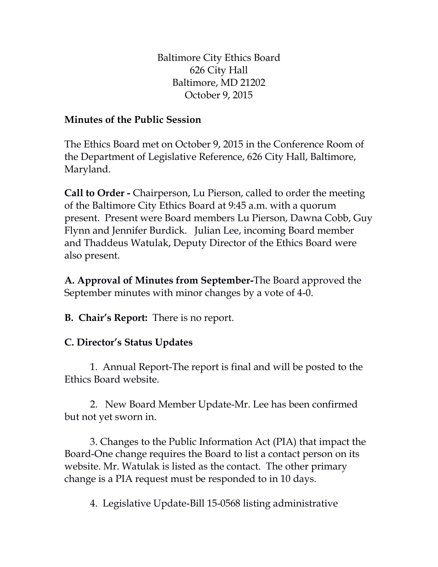Baltimore City Ethics Board 626 City Hall Baltimore, MD 21202 October 9, 2015

## **Minutes of the Public Session**

The Ethics Board met on October 9, 2015 in the Conference Room of the Department of Legislative Reference, 626 City Hall, Baltimore, Maryland.

**Call to Order -** Chairperson, Lu Pierson, called to order the meeting of the Baltimore City Ethics Board at 9:45 a.m. with a quorum present. Present were Board members Lu Pierson, Dawna Cobb, Guy Flynn and Jennifer Burdick. Julian Lee, incoming Board member and Thaddeus Watulak, Deputy Director of the Ethics Board were also present.

**A. Approval of Minutes from September-**The Board approved the September minutes with minor changes by a vote of 4-0.

**B. Chair's Report:** There is no report.

## **C. Director's Status Updates**

1. Annual Report-The report is final and will be posted to the Ethics Board website.

2. New Board Member Update-Mr. Lee has been confirmed but not yet sworn in.

3. Changes to the Public Information Act (PIA) that impact the Board-One change requires the Board to list a contact person on its website. Mr. Watulak is listed as the contact. The other primary change is a PIA request must be responded to in 10 days.

4. Legislative Update-Bill 15-0568 listing administrative